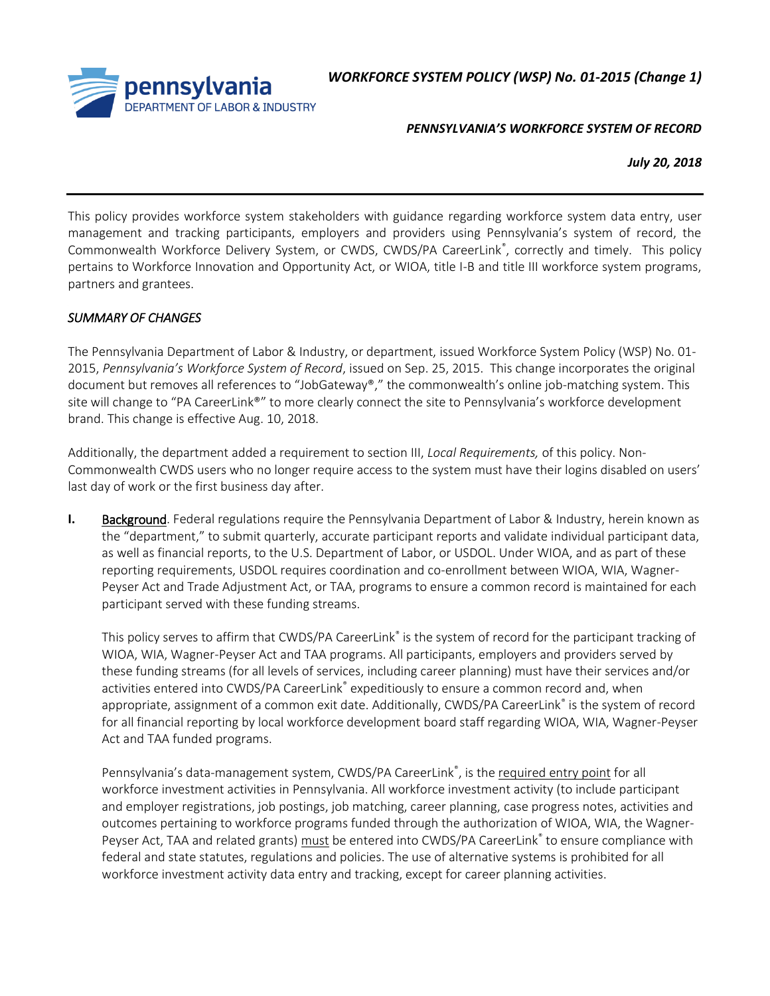*WORKFORCE SYSTEM POLICY (WSP) No. 01-2015 (Change 1)*



## *PENNSYLVANIA'S WORKFORCE SYSTEM OF RECORD*

*July 20, 2018*

This policy provides workforce system stakeholders with guidance regarding workforce system data entry, user management and tracking participants, employers and providers using Pennsylvania's system of record, the Commonwealth Workforce Delivery System, or CWDS, CWDS/PA CareerLink®, correctly and timely. This policy pertains to Workforce Innovation and Opportunity Act, or WIOA, title I-B and title III workforce system programs, partners and grantees.

## *SUMMARY OF CHANGES*

The Pennsylvania Department of Labor & Industry, or department, issued Workforce System Policy (WSP) No. 01- 2015, *Pennsylvania's Workforce System of Record*, issued on Sep. 25, 2015. This change incorporates the original document but removes all references to "JobGateway®," the commonwealth's online job-matching system. This site will change to "PA CareerLink®" to more clearly connect the site to Pennsylvania's workforce development brand. This change is effective Aug. 10, 2018.

Additionally, the department added a requirement to section III, *Local Requirements,* of this policy. Non-Commonwealth CWDS users who no longer require access to the system must have their logins disabled on users' last day of work or the first business day after.

**I.** Background. Federal regulations require the Pennsylvania Department of Labor & Industry, herein known as the "department," to submit quarterly, accurate participant reports and validate individual participant data, as well as financial reports, to the U.S. Department of Labor, or USDOL. Under WIOA, and as part of these reporting requirements, USDOL requires coordination and co-enrollment between WIOA, WIA, Wagner-Peyser Act and Trade Adjustment Act, or TAA, programs to ensure a common record is maintained for each participant served with these funding streams.

This policy serves to affirm that CWDS/PA CareerLink® is the system of record for the participant tracking of WIOA, WIA, Wagner-Peyser Act and TAA programs. All participants, employers and providers served by these funding streams (for all levels of services, including career planning) must have their services and/or activities entered into CWDS/PA CareerLink® expeditiously to ensure a common record and, when appropriate, assignment of a common exit date. Additionally, CWDS/PA CareerLink® is the system of record for all financial reporting by local workforce development board staff regarding WIOA, WIA, Wagner-Peyser Act and TAA funded programs.

Pennsylvania's data-management system, CWDS/PA CareerLink<sup>®</sup>, is the required entry point for all workforce investment activities in Pennsylvania. All workforce investment activity (to include participant and employer registrations, job postings, job matching, career planning, case progress notes, activities and outcomes pertaining to workforce programs funded through the authorization of WIOA, WIA, the Wagner-Peyser Act, TAA and related grants) must be entered into CWDS/PA CareerLink<sup>®</sup> to ensure compliance with federal and state statutes, regulations and policies. The use of alternative systems is prohibited for all workforce investment activity data entry and tracking, except for career planning activities.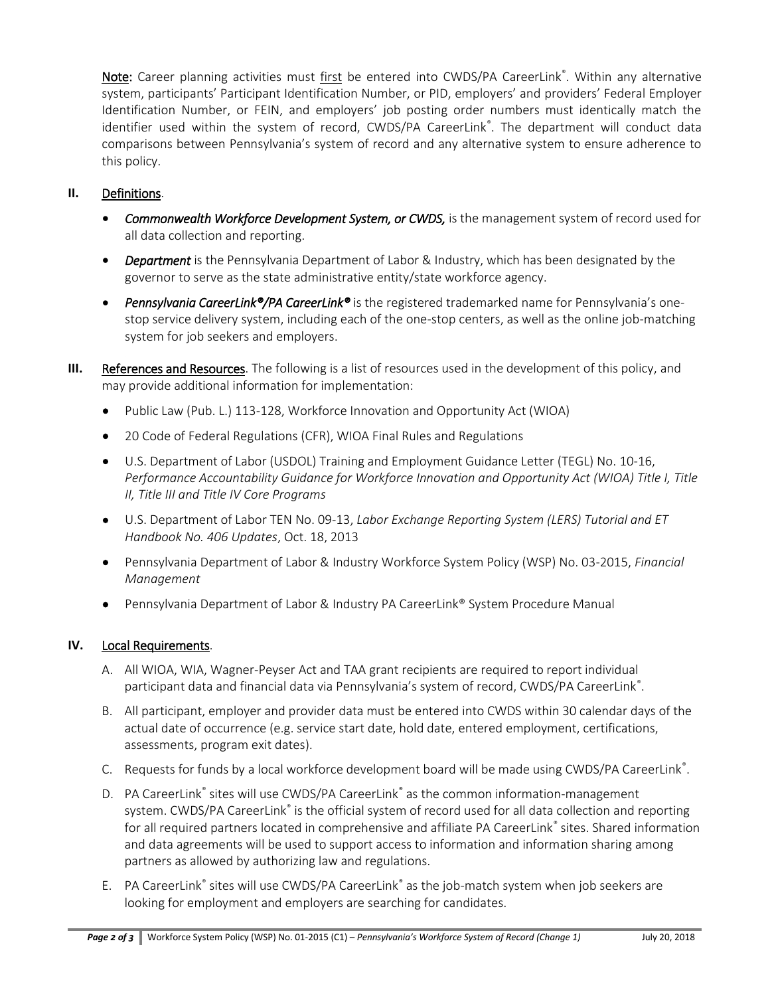Note: Career planning activities must first be entered into CWDS/PA CareerLink®. Within any alternative system, participants' Participant Identification Number, or PID, employers' and providers' Federal Employer Identification Number, or FEIN, and employers' job posting order numbers must identically match the identifier used within the system of record, CWDS/PA CareerLink®. The department will conduct data comparisons between Pennsylvania's system of record and any alternative system to ensure adherence to this policy.

## **II.** Definitions.

- *Commonwealth Workforce Development System, or CWDS,* is the management system of record used for all data collection and reporting.
- *Department* is the Pennsylvania Department of Labor & Industry, which has been designated by the governor to serve as the state administrative entity/state workforce agency.
- *Pennsylvania CareerLink®/PA CareerLink®* is the registered trademarked name for Pennsylvania's onestop service delivery system, including each of the one-stop centers, as well as the online job-matching system for job seekers and employers.
- **III.** References and Resources. The following is a list of resources used in the development of this policy, and may provide additional information for implementation:
	- Public Law (Pub. L.) 113-128, Workforce Innovation and Opportunity Act (WIOA)
	- 20 Code of Federal Regulations (CFR), WIOA Final Rules and Regulations
	- U.S. Department of Labor (USDOL) Training and Employment Guidance Letter (TEGL) No. 10-16, *Performance Accountability Guidance for Workforce Innovation and Opportunity Act (WIOA) Title I, Title II, Title III and Title IV Core Programs*
	- U.S. Department of Labor TEN No. 09-13, *Labor Exchange Reporting System (LERS) Tutorial and ET Handbook No. 406 Updates*, Oct. 18, 2013
	- Pennsylvania Department of Labor & Industry Workforce System Policy (WSP) No. 03-2015, *Financial Management*
	- Pennsylvania Department of Labor & Industry PA CareerLink® System Procedure Manual

## **IV.** Local Requirements.

- A. All WIOA, WIA, Wagner-Peyser Act and TAA grant recipients are required to report individual participant data and financial data via Pennsylvania's system of record, CWDS/PA CareerLink®.
- B. All participant, employer and provider data must be entered into CWDS within 30 calendar days of the actual date of occurrence (e.g. service start date, hold date, entered employment, certifications, assessments, program exit dates).
- C. Requests for funds by a local workforce development board will be made using CWDS/PA CareerLink<sup>®</sup>.
- D. PA CareerLink® sites will use CWDS/PA CareerLink® as the common information-management system. CWDS/PA CareerLink® is the official system of record used for all data collection and reporting for all required partners located in comprehensive and affiliate PA CareerLink® sites. Shared information and data agreements will be used to support access to information and information sharing among partners as allowed by authorizing law and regulations.
- E. PA CareerLink® sites will use CWDS/PA CareerLink® as the job-match system when job seekers are looking for employment and employers are searching for candidates.